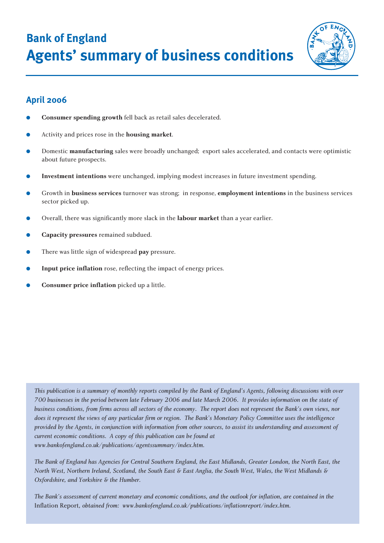**Bank of England Agents' summary of business conditions**



# **April 2006**

- **Consumer spending growth** fell back as retail sales decelerated.
- Activity and prices rose in the **housing market**.
- Domestic **manufacturing** sales were broadly unchanged; export sales accelerated, and contacts were optimistic about future prospects.
- Investment intentions were unchanged, implying modest increases in future investment spending.
- Growth in **business services** turnover was strong; in response, **employment intentions** in the business services sector picked up.
- Overall, there was significantly more slack in the **labour market** than a year earlier.
- **Capacity pressures** remained subdued.
- There was little sign of widespread **pay** pressure.
- **Input price inflation** rose, reflecting the impact of energy prices.
- **Consumer price inflation** picked up a little.

*This publication is a summary of monthly reports compiled by the Bank of England's Agents, following discussions with over 700 businesses in the period between late February 2006 and late March 2006. It provides information on the state of business conditions, from firms across all sectors of the economy. The report does not represent the Bank's own views, nor does it represent the views of any particular firm or region. The Bank's Monetary Policy Committee uses the intelligence provided by the Agents, in conjunction with information from other sources, to assist its understanding and assessment of current economic conditions. A copy of this publication can be found at www.bankofengland.co.uk/publications/agentssummary/index.htm.*

*The Bank of England has Agencies for Central Southern England, the East Midlands, Greater London, the North East, the North West, Northern Ireland, Scotland, the South East & East Anglia, the South West, Wales, the West Midlands & Oxfordshire, and Yorkshire & the Humber.*

*The Bank's assessment of current monetary and economic conditions, and the outlook for inflation, are contained in the* Inflation Report*, obtained from: www.bankofengland.co.uk/publications/inflationreport/index.htm.*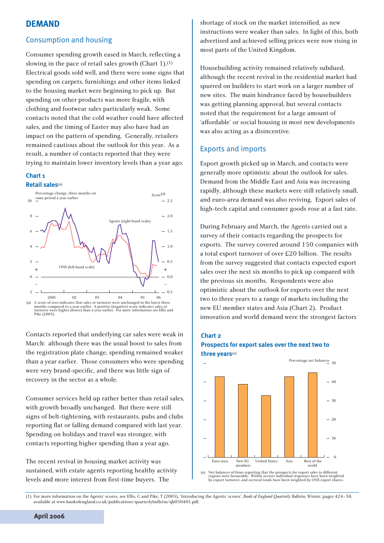## **DEMAND**

### Consumption and housing

Consumer spending growth eased in March, reflecting a slowing in the pace of retail sales growth (Chart 1).(1) Electrical goods sold well, and there were some signs that spending on carpets, furnishings and other items linked to the housing market were beginning to pick up. But spending on other products was more fragile, with clothing and footwear sales particularly weak. Some contacts noted that the cold weather could have affected sales, and the timing of Easter may also have had an impact on the pattern of spending. Generally, retailers remained cautious about the outlook for this year. As a result, a number of contacts reported that they were trying to maintain lower inventory levels than a year ago.

#### **Chart 1**

#### **Retail sales**(a)



Contacts reported that underlying car sales were weak in March: although there was the usual boost to sales from the registration plate change, spending remained weaker than a year earlier. Those consumers who were spending were very brand-specific, and there was little sign of recovery in the sector as a whole.

Consumer services held up rather better than retail sales, with growth broadly unchanged. But there were still signs of belt-tightening, with restaurants, pubs and clubs reporting flat or falling demand compared with last year. Spending on holidays and travel was stronger, with contacts reporting higher spending than a year ago.

The recent revival in housing market activity was sustained, with estate agents reporting healthy activity levels and more interest from first-time buyers. The

shortage of stock on the market intensified, as new instructions were weaker than sales. In light of this, both advertised and achieved selling prices were now rising in most parts of the United Kingdom.

Housebuilding activity remained relatively subdued, although the recent revival in the residential market had spurred on builders to start work on a larger number of new sites. The main hindrance faced by housebuilders was getting planning approval, but several contacts noted that the requirement for a large amount of 'affordable' or social housing in most new developments was also acting as a disincentive.

#### Exports and imports

Export growth picked up in March, and contacts were generally more optimistic about the outlook for sales. Demand from the Middle East and Asia was increasing rapidly, although these markets were still relatively small, and euro-area demand was also reviving. Export sales of high-tech capital and consumer goods rose at a fast rate.

During February and March, the Agents carried out a survey of their contacts regarding the prospects for exports. The survey covered around 150 companies with a total export turnover of over £20 billion. The results from the survey suggested that contacts expected export sales over the next six months to pick up compared with the previous six months. Respondents were also optimistic about the outlook for exports over the next two to three years to a range of markets including the new EU member states and Asia (Chart 2). Product innovation and world demand were the strongest factors

#### **Chart 2**

### **Prospects for export sales over the next two to three years**(a)



(a) Net balances of firms reporting that the prospects for export sales to different<br>regions were favourable. Within sectors individual responses have been weighted<br>by export turnover, and sectoral totals have been weighte

<sup>(1)</sup> For more information on the Agents' scores, see Ellis, C and Pike, T (2005), 'Introducing the Agents' scores', *Bank of England Quarterly Bulletin*, Winter, pages 424–30, available at www.bankofengland.co.uk/publications/quarterlybulletin/qb050401.pdf.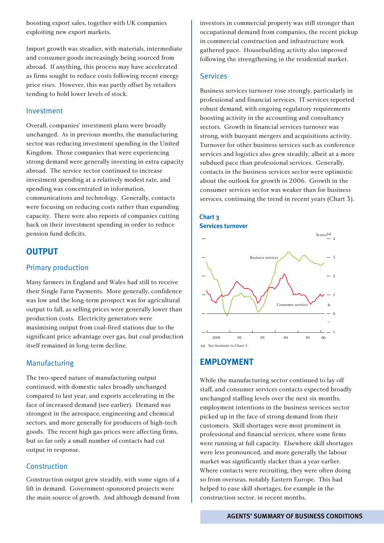boosting export sales, together with UK companies exploiting new export markets.

Import growth was steadier, with materials, intermediate and consumer goods increasingly being sourced from abroad. If anything, this process may have accelerated as firms sought to reduce costs following recent energy price rises. However, this was partly offset by retailers tending to hold lower levels of stock.

#### Investment

Overall, companies' investment plans were broadly unchanged. As in previous months, the manufacturing sector was reducing investment spending in the United Kingdom. Those companies that were experiencing strong demand were generally investing in extra capacity abroad. The service sector continued to increase investment spending at a relatively modest rate, and spending was concentrated in information, communications and technology. Generally, contacts were focusing on reducing costs rather than expanding capacity. There were also reports of companies cutting back on their investment spending in order to reduce pension fund deficits.

## **OUTPUT**

#### Primary production

Many farmers in England and Wales had still to receive their Single Farm Payments. More generally, confidence was low and the long-term prospect was for agricultural output to fall, as selling prices were generally lower than production costs. Electricity generators were maximising output from coal-fired stations due to the significant price advantage over gas, but coal production itself remained in long-term decline.

#### Manufacturing

The two-speed nature of manufacturing output continued, with domestic sales broadly unchanged compared to last year, and exports accelerating in the face of increased demand (see earlier). Demand was strongest in the aerospace, engineering and chemical sectors, and more generally for producers of high-tech goods. The recent high gas prices were affecting firms, but so far only a small number of contacts had cut output in response.

#### Construction

Construction output grew steadily, with some signs of a lift in demand. Government-sponsored projects were the main source of growth. And although demand from investors in commercial property was still stronger than occupational demand from companies, the recent pickup in commercial construction and infrastructure work gathered pace. Housebuilding activity also improved following the strengthening in the residential market.

#### Services

Business services turnover rose strongly, particularly in professional and financial services. IT services reported robust demand, with ongoing regulatory requirements boosting activity in the accounting and consultancy sectors. Growth in financial services turnover was strong, with buoyant mergers and acquisitions activity. Turnover for other business services such as conference services and logistics also grew steadily, albeit at a more subdued pace than professional services. Generally, contacts in the business services sector were optimistic about the outlook for growth in 2006. Growth in the consumer services sector was weaker than for business services, continuing the trend in recent years (Chart 3).





## **EMPLOYMENT**

While the manufacturing sector continued to lay off staff, and consumer services contacts expected broadly unchanged staffing levels over the next six months, employment intentions in the business services sector picked up in the face of strong demand from their customers. Skill shortages were most prominent in professional and financial services, where some firms were running at full capacity. Elsewhere skill shortages were less pronounced, and more generally the labour market was significantly slacker than a year earlier. Where contacts were recruiting, they were often doing so from overseas, notably Eastern Europe. This had helped to ease skill shortages, for example in the construction sector, in recent months.